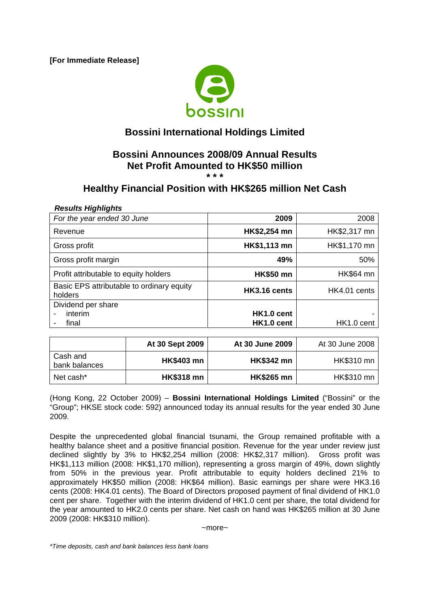**[For Immediate Release]** 



# **Bossini International Holdings Limited**

# **Bossini Announces 2008/09 Annual Results Net Profit Amounted to HK\$50 million**

**\* \* \*** 

## **Healthy Financial Position with HK\$265 million Net Cash**

#### *Results Highlights*

| For the year ended 30 June                           | 2009             | 2008             |
|------------------------------------------------------|------------------|------------------|
| Revenue                                              | HK\$2,254 mn     | HK\$2,317 mn     |
| Gross profit                                         | HK\$1,113 mn     | HK\$1,170 mn     |
| Gross profit margin                                  | 49%              | 50%              |
| Profit attributable to equity holders                | <b>HK\$50 mn</b> | <b>HK\$64 mn</b> |
| Basic EPS attributable to ordinary equity<br>holders | HK3.16 cents     | HK4.01 cents     |
| Dividend per share                                   |                  |                  |
| interim                                              | HK1.0 cent       |                  |
| final                                                | HK1.0 cent       | HK1.0 cent       |

|                           | At 30 Sept 2009   | At 30 June 2009   | At 30 June 2008 |
|---------------------------|-------------------|-------------------|-----------------|
| Cash and<br>bank balances | <b>HK\$403 mn</b> | <b>HK\$342 mn</b> | HK\$310 mn      |
| Net cash*                 | <b>HK\$318 mn</b> | <b>HK\$265 mn</b> | HK\$310 mn      |

(Hong Kong, 22 October 2009) – **Bossini International Holdings Limited** ("Bossini" or the "Group"; HKSE stock code: 592) announced today its annual results for the year ended 30 June 2009.

Despite the unprecedented global financial tsunami, the Group remained profitable with a healthy balance sheet and a positive financial position. Revenue for the year under review just declined slightly by 3% to HK\$2,254 million (2008: HK\$2,317 million). Gross profit was HK\$1,113 million (2008: HK\$1,170 million), representing a gross margin of 49%, down slightly from 50% in the previous year. Profit attributable to equity holders declined 21% to approximately HK\$50 million (2008: HK\$64 million). Basic earnings per share were HK3.16 cents (2008: HK4.01 cents). The Board of Directors proposed payment of final dividend of HK1.0 cent per share. Together with the interim dividend of HK1.0 cent per share, the total dividend for the year amounted to HK2.0 cents per share. Net cash on hand was HK\$265 million at 30 June 2009 (2008: HK\$310 million).

 $~\sim$ more $~\sim$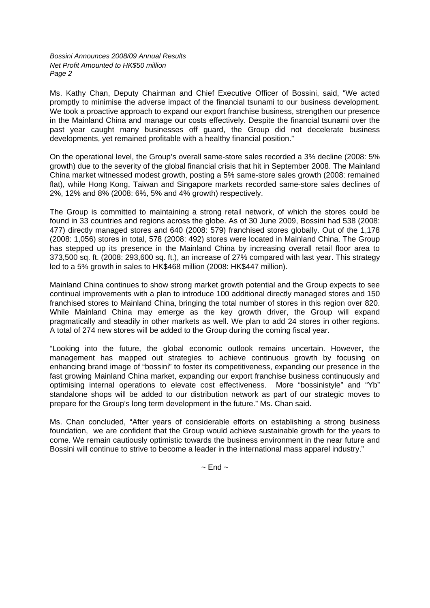*Bossini Announces 2008/09 Annual Results Net Profit Amounted to HK\$50 million Page 2* 

Ms. Kathy Chan, Deputy Chairman and Chief Executive Officer of Bossini, said, "We acted promptly to minimise the adverse impact of the financial tsunami to our business development. We took a proactive approach to expand our export franchise business, strengthen our presence in the Mainland China and manage our costs effectively. Despite the financial tsunami over the past year caught many businesses off guard, the Group did not decelerate business developments, yet remained profitable with a healthy financial position."

On the operational level, the Group's overall same-store sales recorded a 3% decline (2008: 5% growth) due to the severity of the global financial crisis that hit in September 2008. The Mainland China market witnessed modest growth, posting a 5% same-store sales growth (2008: remained flat), while Hong Kong, Taiwan and Singapore markets recorded same-store sales declines of 2%, 12% and 8% (2008: 6%, 5% and 4% growth) respectively.

The Group is committed to maintaining a strong retail network, of which the stores could be found in 33 countries and regions across the globe. As of 30 June 2009, Bossini had 538 (2008: 477) directly managed stores and 640 (2008: 579) franchised stores globally. Out of the 1,178 (2008: 1,056) stores in total, 578 (2008: 492) stores were located in Mainland China. The Group has stepped up its presence in the Mainland China by increasing overall retail floor area to 373,500 sq. ft. (2008: 293,600 sq. ft.), an increase of 27% compared with last year. This strategy led to a 5% growth in sales to HK\$468 million (2008: HK\$447 million).

Mainland China continues to show strong market growth potential and the Group expects to see continual improvements with a plan to introduce 100 additional directly managed stores and 150 franchised stores to Mainland China, bringing the total number of stores in this region over 820. While Mainland China may emerge as the key growth driver, the Group will expand pragmatically and steadily in other markets as well. We plan to add 24 stores in other regions. A total of 274 new stores will be added to the Group during the coming fiscal year.

"Looking into the future, the global economic outlook remains uncertain. However, the management has mapped out strategies to achieve continuous growth by focusing on enhancing brand image of "bossini" to foster its competitiveness, expanding our presence in the fast growing Mainland China market, expanding our export franchise business continuously and optimising internal operations to elevate cost effectiveness. More "bossinistyle" and "Yb" standalone shops will be added to our distribution network as part of our strategic moves to prepare for the Group's long term development in the future." Ms. Chan said.

Ms. Chan concluded, "After years of considerable efforts on establishing a strong business foundation, we are confident that the Group would achieve sustainable growth for the years to come. We remain cautiously optimistic towards the business environment in the near future and Bossini will continue to strive to become a leader in the international mass apparel industry."

 $\sim$  Fnd  $\sim$